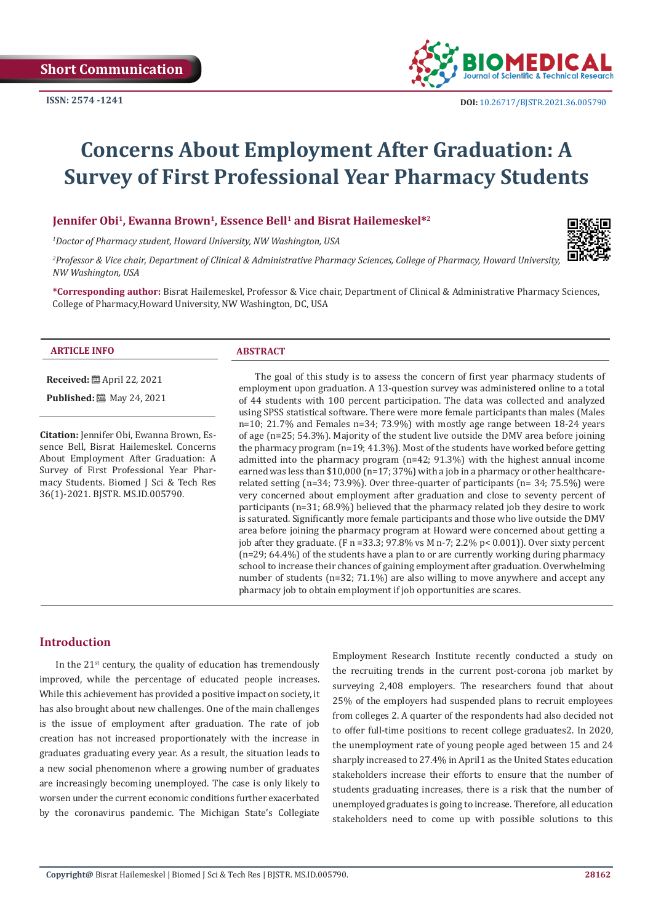

# **Concerns About Employment After Graduation: A Survey of First Professional Year Pharmacy Students**

## **Jennifer Obi1, Ewanna Brown1, Essence Bell1 and Bisrat Hailemeskel\*2**

*1 Doctor of Pharmacy student, Howard University, NW Washington, USA*

*2 Professor & Vice chair, Department of Clinical & Administrative Pharmacy Sciences, College of Pharmacy, Howard University, NW Washington, USA*

**\*Corresponding author:** Bisrat Hailemeskel, Professor & Vice chair, Department of Clinical & Administrative Pharmacy Sciences, College of Pharmacy,Howard University, NW Washington, DC, USA

#### **ARTICLE INFO ABSTRACT**

**Received:** April 22, 2021 **Published:** 圖 May 24, 2021

**Citation:** Jennifer Obi, Ewanna Brown, Essence Bell, Bisrat Hailemeskel. Concerns About Employment After Graduation: A Survey of First Professional Year Pharmacy Students. Biomed J Sci & Tech Res 36(1)-2021. BJSTR. MS.ID.005790.

The goal of this study is to assess the concern of first year pharmacy students of employment upon graduation. A 13-question survey was administered online to a total of 44 students with 100 percent participation. The data was collected and analyzed using SPSS statistical software. There were more female participants than males (Males n=10; 21.7% and Females n=34; 73.9%) with mostly age range between 18-24 years of age (n=25; 54.3%). Majority of the student live outside the DMV area before joining the pharmacy program (n=19; 41.3%). Most of the students have worked before getting admitted into the pharmacy program (n=42; 91.3%) with the highest annual income earned was less than \$10,000 (n=17; 37%) with a job in a pharmacy or other healthcarerelated setting (n=34; 73.9%). Over three-quarter of participants (n= 34; 75.5%) were very concerned about employment after graduation and close to seventy percent of participants (n=31; 68.9%) believed that the pharmacy related job they desire to work is saturated. Significantly more female participants and those who live outside the DMV area before joining the pharmacy program at Howard were concerned about getting a job after they graduate. (F n =33.3; 97.8% vs M n-7; 2.2% p< 0.001)). Over sixty percent (n=29; 64.4%) of the students have a plan to or are currently working during pharmacy school to increase their chances of gaining employment after graduation. Overwhelming number of students (n=32; 71.1%) are also willing to move anywhere and accept any pharmacy job to obtain employment if job opportunities are scares.

# **Introduction**

In the  $21^{st}$  century, the quality of education has tremendously improved, while the percentage of educated people increases. While this achievement has provided a positive impact on society, it has also brought about new challenges. One of the main challenges is the issue of employment after graduation. The rate of job creation has not increased proportionately with the increase in graduates graduating every year. As a result, the situation leads to a new social phenomenon where a growing number of graduates are increasingly becoming unemployed. The case is only likely to worsen under the current economic conditions further exacerbated by the coronavirus pandemic. The Michigan State's Collegiate

Employment Research Institute recently conducted a study on the recruiting trends in the current post-corona job market by surveying 2,408 employers. The researchers found that about 25% of the employers had suspended plans to recruit employees from colleges 2. A quarter of the respondents had also decided not to offer full-time positions to recent college graduates2. In 2020, the unemployment rate of young people aged between 15 and 24 sharply increased to 27.4% in April1 as the United States education stakeholders increase their efforts to ensure that the number of students graduating increases, there is a risk that the number of unemployed graduates is going to increase. Therefore, all education stakeholders need to come up with possible solutions to this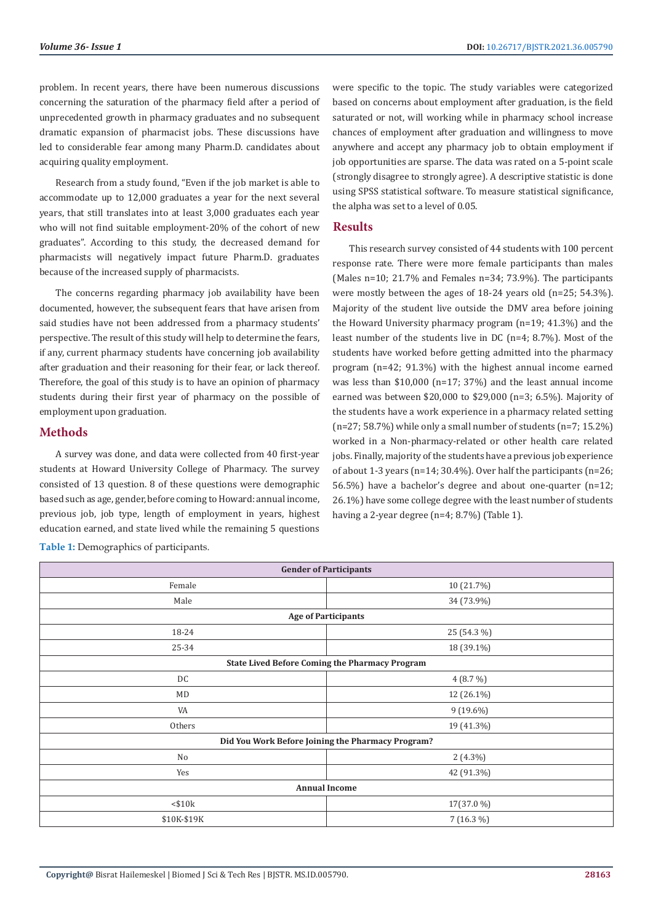problem. In recent years, there have been numerous discussions concerning the saturation of the pharmacy field after a period of unprecedented growth in pharmacy graduates and no subsequent dramatic expansion of pharmacist jobs. These discussions have led to considerable fear among many Pharm.D. candidates about acquiring quality employment.

Research from a study found, "Even if the job market is able to accommodate up to 12,000 graduates a year for the next several years, that still translates into at least 3,000 graduates each year who will not find suitable employment-20% of the cohort of new graduates". According to this study, the decreased demand for pharmacists will negatively impact future Pharm.D. graduates because of the increased supply of pharmacists.

The concerns regarding pharmacy job availability have been documented, however, the subsequent fears that have arisen from said studies have not been addressed from a pharmacy students' perspective. The result of this study will help to determine the fears, if any, current pharmacy students have concerning job availability after graduation and their reasoning for their fear, or lack thereof. Therefore, the goal of this study is to have an opinion of pharmacy students during their first year of pharmacy on the possible of employment upon graduation.

## **Methods**

A survey was done, and data were collected from 40 first-year students at Howard University College of Pharmacy. The survey consisted of 13 question. 8 of these questions were demographic based such as age, gender, before coming to Howard: annual income, previous job, job type, length of employment in years, highest education earned, and state lived while the remaining 5 questions

**Table 1:** Demographics of participants.

were specific to the topic. The study variables were categorized based on concerns about employment after graduation, is the field saturated or not, will working while in pharmacy school increase chances of employment after graduation and willingness to move anywhere and accept any pharmacy job to obtain employment if job opportunities are sparse. The data was rated on a 5-point scale (strongly disagree to strongly agree). A descriptive statistic is done using SPSS statistical software. To measure statistical significance, the alpha was set to a level of 0.05.

#### **Results**

This research survey consisted of 44 students with 100 percent response rate. There were more female participants than males (Males n=10; 21.7% and Females n=34; 73.9%). The participants were mostly between the ages of 18-24 years old (n=25; 54.3%). Majority of the student live outside the DMV area before joining the Howard University pharmacy program (n=19; 41.3%) and the least number of the students live in DC (n=4; 8.7%). Most of the students have worked before getting admitted into the pharmacy program (n=42; 91.3%) with the highest annual income earned was less than \$10,000 (n=17; 37%) and the least annual income earned was between \$20,000 to \$29,000 (n=3; 6.5%). Majority of the students have a work experience in a pharmacy related setting  $(n=27; 58.7%)$  while only a small number of students  $(n=7; 15.2%)$ worked in a Non-pharmacy-related or other health care related jobs. Finally, majority of the students have a previous job experience of about 1-3 years (n=14; 30.4%). Over half the participants (n=26; 56.5%) have a bachelor's degree and about one-quarter (n=12; 26.1%) have some college degree with the least number of students having a 2-year degree (n=4; 8.7%) (Table 1).

| <b>Gender of Participants</b>                         |             |  |  |  |
|-------------------------------------------------------|-------------|--|--|--|
| Female                                                | 10 (21.7%)  |  |  |  |
| Male                                                  | 34 (73.9%)  |  |  |  |
| <b>Age of Participants</b>                            |             |  |  |  |
| 18-24                                                 | 25 (54.3 %) |  |  |  |
| 25-34                                                 | 18 (39.1%)  |  |  |  |
| <b>State Lived Before Coming the Pharmacy Program</b> |             |  |  |  |
| DC                                                    | $4(8.7\%)$  |  |  |  |
| MD                                                    | 12 (26.1%)  |  |  |  |
| VA                                                    | $9(19.6\%)$ |  |  |  |
| Others                                                | 19 (41.3%)  |  |  |  |
| Did You Work Before Joining the Pharmacy Program?     |             |  |  |  |
| No                                                    | $2(4.3\%)$  |  |  |  |
| Yes                                                   | 42 (91.3%)  |  |  |  |
| <b>Annual Income</b>                                  |             |  |  |  |
| $<$ \$10 $k$                                          | 17(37.0 %)  |  |  |  |
| \$10K-\$19K                                           | $7(16.3\%)$ |  |  |  |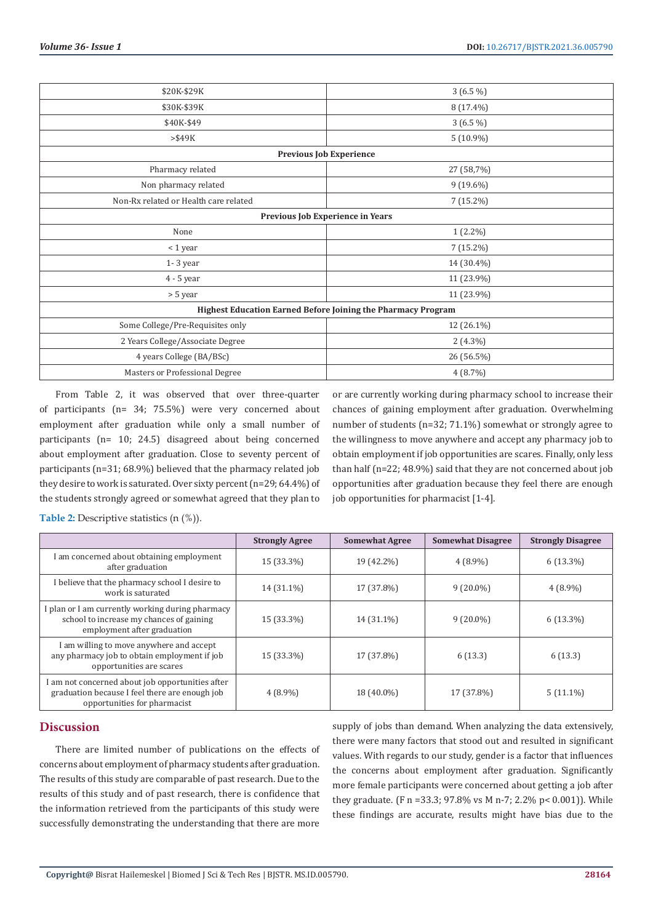| \$20K-\$29K                                                  | $3(6.5\%)$  |  |  |  |
|--------------------------------------------------------------|-------------|--|--|--|
| \$30K-\$39K                                                  | 8 (17.4%)   |  |  |  |
| \$40K-\$49                                                   | $3(6.5\%)$  |  |  |  |
| $>\$49K$                                                     | $5(10.9\%)$ |  |  |  |
| <b>Previous Job Experience</b>                               |             |  |  |  |
| Pharmacy related                                             | 27 (58,7%)  |  |  |  |
| Non pharmacy related                                         | $9(19.6\%)$ |  |  |  |
| Non-Rx related or Health care related                        | 7 (15.2%)   |  |  |  |
| Previous Job Experience in Years                             |             |  |  |  |
| None                                                         | $1(2.2\%)$  |  |  |  |
| < 1 year                                                     | 7 (15.2%)   |  |  |  |
| $1 - 3$ year                                                 | 14 (30.4%)  |  |  |  |
| 4 - 5 year                                                   | 11 (23.9%)  |  |  |  |
| > 5 year                                                     | 11 (23.9%)  |  |  |  |
| Highest Education Earned Before Joining the Pharmacy Program |             |  |  |  |
| Some College/Pre-Requisites only                             | 12 (26.1%)  |  |  |  |
| 2 Years College/Associate Degree                             | $2(4.3\%)$  |  |  |  |
| 4 years College (BA/BSc)                                     | 26 (56.5%)  |  |  |  |
| Masters or Professional Degree                               | 4(8.7%)     |  |  |  |
|                                                              |             |  |  |  |

From Table 2, it was observed that over three-quarter of participants (n= 34; 75.5%) were very concerned about employment after graduation while only a small number of participants (n= 10; 24.5) disagreed about being concerned about employment after graduation. Close to seventy percent of participants (n=31; 68.9%) believed that the pharmacy related job they desire to work is saturated. Over sixty percent (n=29; 64.4%) of the students strongly agreed or somewhat agreed that they plan to

or are currently working during pharmacy school to increase their chances of gaining employment after graduation. Overwhelming number of students (n=32; 71.1%) somewhat or strongly agree to the willingness to move anywhere and accept any pharmacy job to obtain employment if job opportunities are scares. Finally, only less than half (n=22; 48.9%) said that they are not concerned about job opportunities after graduation because they feel there are enough job opportunities for pharmacist [1-4].

**Table 2:** Descriptive statistics (n (%)).

|                                                                                                                                    | <b>Strongly Agree</b> | <b>Somewhat Agree</b> | <b>Somewhat Disagree</b> | <b>Strongly Disagree</b> |
|------------------------------------------------------------------------------------------------------------------------------------|-----------------------|-----------------------|--------------------------|--------------------------|
| I am concerned about obtaining employment<br>after graduation                                                                      | 15 (33.3%)            | 19 (42.2%)            | $4(8.9\%)$               | $6(13.3\%)$              |
| I believe that the pharmacy school I desire to<br>work is saturated                                                                | 14 (31.1%)            | 17 (37.8%)            | $9(20.0\%)$              | $4(8.9\%)$               |
| I plan or I am currently working during pharmacy<br>school to increase my chances of gaining<br>employment after graduation        | 15 (33.3%)            | 14 (31.1%)            | $9(20.0\%)$              | $6(13.3\%)$              |
| I am willing to move anywhere and accept<br>any pharmacy job to obtain employment if job<br>opportunities are scares               | 15 (33.3%)            | 17 (37.8%)            | 6(13.3)                  | 6(13.3)                  |
| I am not concerned about job opportunities after<br>graduation because I feel there are enough job<br>opportunities for pharmacist | $4(8.9\%)$            | 18 (40.0%)            | 17 (37.8%)               | $5(11.1\%)$              |

## **Discussion**

There are limited number of publications on the effects of concerns about employment of pharmacy students after graduation. The results of this study are comparable of past research. Due to the results of this study and of past research, there is confidence that the information retrieved from the participants of this study were successfully demonstrating the understanding that there are more

supply of jobs than demand. When analyzing the data extensively, there were many factors that stood out and resulted in significant values. With regards to our study, gender is a factor that influences the concerns about employment after graduation. Significantly more female participants were concerned about getting a job after they graduate. (F n =33.3; 97.8% vs M n-7; 2.2% p< 0.001)). While these findings are accurate, results might have bias due to the